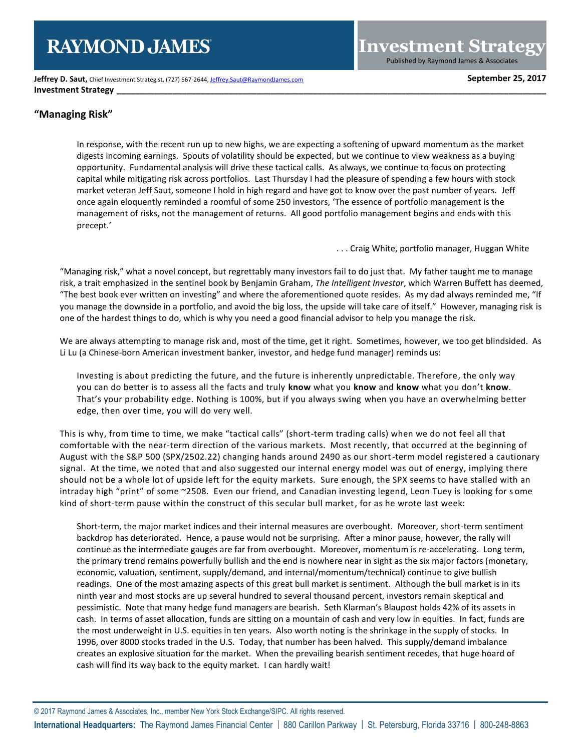# **RAYMOND JAMES**

**Jeffrey D. Saut, Chief Investment Strategist, (727) 567-2644[, Jeffrey.Saut@RaymondJames.com](mailto:Jeffrey.Saut@RaymondJames.com) September 25, 2017 Investment Strategy** 

# **"Managing Risk"**

In response, with the recent run up to new highs, we are expecting a softening of upward momentum as the market digests incoming earnings. Spouts of volatility should be expected, but we continue to view weakness as a buying opportunity. Fundamental analysis will drive these tactical calls. As always, we continue to focus on protecting capital while mitigating risk across portfolios. Last Thursday I had the pleasure of spending a few hours with stock market veteran Jeff Saut, someone I hold in high regard and have got to know over the past number of years. Jeff once again eloquently reminded a roomful of some 250 investors, 'The essence of portfolio management is the management of risks, not the management of returns. All good portfolio management begins and ends with this precept.'

. . . Craig White, portfolio manager, Huggan White

**Investment Strategy** Published by Raymond James & Associates

"Managing risk," what a novel concept, but regrettably many investors fail to do just that. My father taught me to manage risk, a trait emphasized in the sentinel book by Benjamin Graham, *The Intelligent Investor*, which Warren Buffett has deemed, "The best book ever written on investing" and where the aforementioned quote resides. As my dad always reminded me, "If you manage the downside in a portfolio, and avoid the big loss, the upside will take care of itself." However, managing risk is one of the hardest things to do, which is why you need a good financial advisor to help you manage the risk.

We are always attempting to manage risk and, most of the time, get it right. Sometimes, however, we too get blindsided. As Li Lu (a Chinese-born American investment banker, investor, and hedge fund manager) reminds us:

Investing is about predicting the future, and the future is inherently unpredictable. Therefore, the only way you can do better is to assess all the facts and truly **know** what you **know** and **know** what you don't **know**. That's your probability edge. Nothing is 100%, but if you always swing when you have an overwhelming better edge, then over time, you will do very well.

This is why, from time to time, we make "tactical calls" (short-term trading calls) when we do not feel all that comfortable with the near-term direction of the various markets. Most recently, that occurred at the beginning of August with the S&P 500 (SPX/2502.22) changing hands around 2490 as our short-term model registered a cautionary signal. At the time, we noted that and also suggested our internal energy model was out of energy, implying there should not be a whole lot of upside left for the equity markets. Sure enough, the SPX seems to have stalled with an intraday high "print" of some ~2508. Even our friend, and Canadian investing legend, Leon Tuey is looking for s ome kind of short-term pause within the construct of this secular bull market, for as he wrote last week:

Short-term, the major market indices and their internal measures are overbought. Moreover, short-term sentiment backdrop has deteriorated. Hence, a pause would not be surprising. After a minor pause, however, the rally will continue as the intermediate gauges are far from overbought. Moreover, momentum is re-accelerating. Long term, the primary trend remains powerfully bullish and the end is nowhere near in sight as the six major factors (monetary, economic, valuation, sentiment, supply/demand, and internal/momentum/technical) continue to give bullish readings. One of the most amazing aspects of this great bull market is sentiment. Although the bull market is in its ninth year and most stocks are up several hundred to several thousand percent, investors remain skeptical and pessimistic. Note that many hedge fund managers are bearish. Seth Klarman's Blaupost holds 42% of its assets in cash. In terms of asset allocation, funds are sitting on a mountain of cash and very low in equities. In fact, funds are the most underweight in U.S. equities in ten years. Also worth noting is the shrinkage in the supply of stocks. In 1996, over 8000 stocks traded in the U.S. Today, that number has been halved. This supply/demand imbalance creates an explosive situation for the market. When the prevailing bearish sentiment recedes, that huge hoard of cash will find its way back to the equity market. I can hardly wait!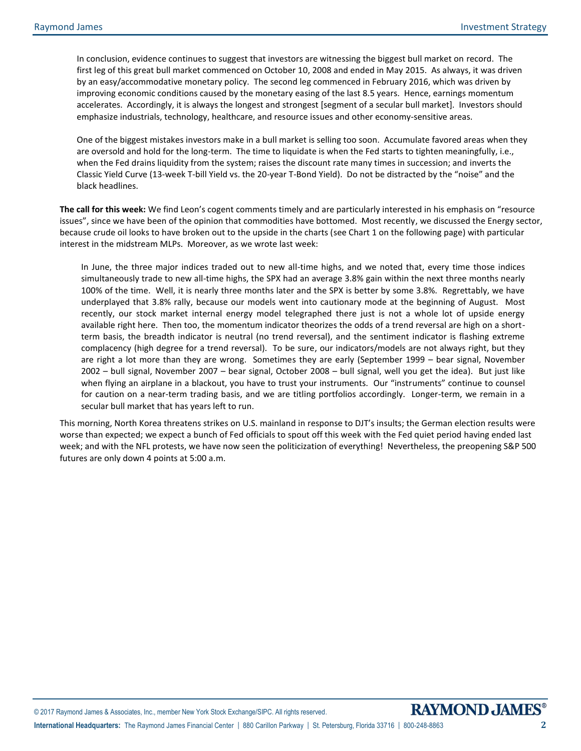In conclusion, evidence continues to suggest that investors are witnessing the biggest bull market on record. The first leg of this great bull market commenced on October 10, 2008 and ended in May 2015. As always, it was driven by an easy/accommodative monetary policy. The second leg commenced in February 2016, which was driven by improving economic conditions caused by the monetary easing of the last 8.5 years. Hence, earnings momentum accelerates. Accordingly, it is always the longest and strongest [segment of a secular bull market]. Investors should emphasize industrials, technology, healthcare, and resource issues and other economy-sensitive areas.

One of the biggest mistakes investors make in a bull market is selling too soon. Accumulate favored areas when they are oversold and hold for the long-term. The time to liquidate is when the Fed starts to tighten meaningfully, i.e., when the Fed drains liquidity from the system; raises the discount rate many times in succession; and inverts the Classic Yield Curve (13-week T-bill Yield vs. the 20-year T-Bond Yield). Do not be distracted by the "noise" and the black headlines.

**The call for this week:** We find Leon's cogent comments timely and are particularly interested in his emphasis on "resource issues", since we have been of the opinion that commodities have bottomed. Most recently, we discussed the Energy sector, because crude oil looks to have broken out to the upside in the charts (see Chart 1 on the following page) with particular interest in the midstream MLPs. Moreover, as we wrote last week:

In June, the three major indices traded out to new all-time highs, and we noted that, every time those indices simultaneously trade to new all-time highs, the SPX had an average 3.8% gain within the next three months nearly 100% of the time. Well, it is nearly three months later and the SPX is better by some 3.8%. Regrettably, we have underplayed that 3.8% rally, because our models went into cautionary mode at the beginning of August. Most recently, our stock market internal energy model telegraphed there just is not a whole lot of upside energy available right here. Then too, the momentum indicator theorizes the odds of a trend reversal are high on a shortterm basis, the breadth indicator is neutral (no trend reversal), and the sentiment indicator is flashing extreme complacency (high degree for a trend reversal). To be sure, our indicators/models are not always right, but they are right a lot more than they are wrong. Sometimes they are early (September 1999 – bear signal, November 2002 – bull signal, November 2007 – bear signal, October 2008 – bull signal, well you get the idea). But just like when flying an airplane in a blackout, you have to trust your instruments. Our "instruments" continue to counsel for caution on a near-term trading basis, and we are titling portfolios accordingly. Longer-term, we remain in a secular bull market that has years left to run.

This morning, North Korea threatens strikes on U.S. mainland in response to DJT's insults; the German election results were worse than expected; we expect a bunch of Fed officials to spout off this week with the Fed quiet period having ended last week; and with the NFL protests, we have now seen the politicization of everything! Nevertheless, the preopening S&P 500 futures are only down 4 points at 5:00 a.m.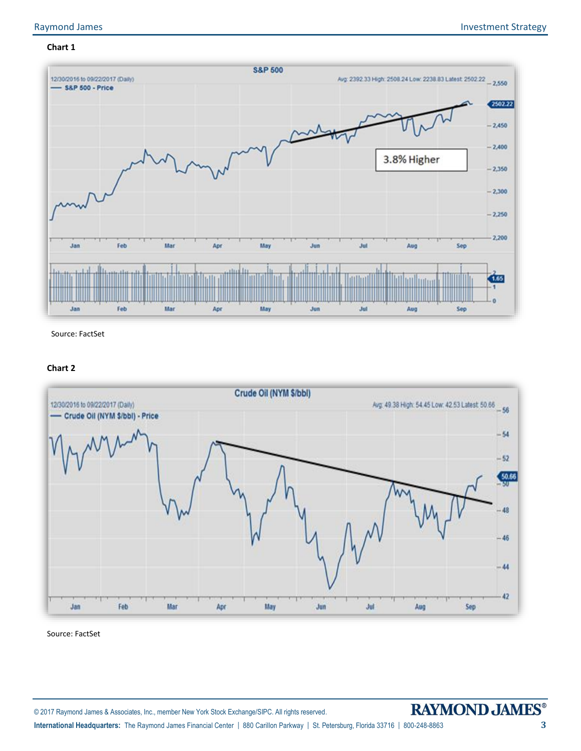# **Chart 1**



Source: FactSet

## **Chart 2**



Source: FactSet

**International Headquarters:** The Raymond James Financial Center | 880 Carillon Parkway | St. Petersburg, Florida 33716 | 800-248-8863 **3**

© 2017 Raymond James & Associates, Inc., member New York Stock Exchange/SIPC. All rights reserved.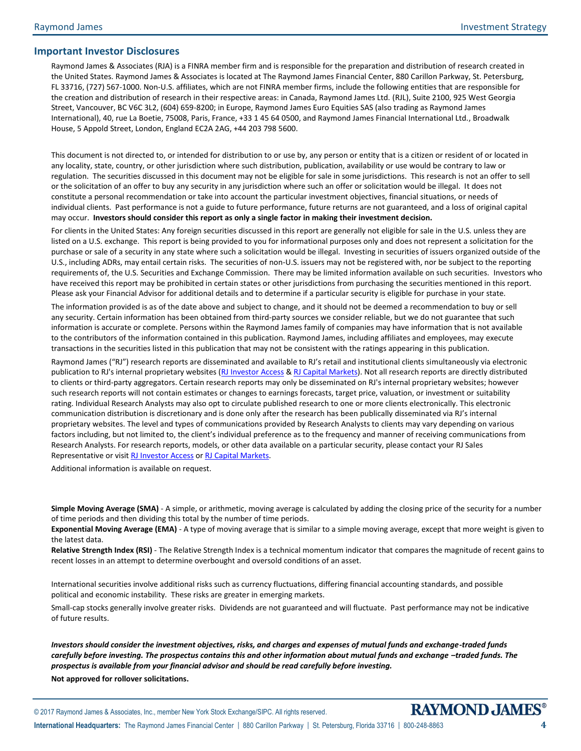# **Important Investor Disclosures**

Raymond James & Associates (RJA) is a FINRA member firm and is responsible for the preparation and distribution of research created in the United States. Raymond James & Associates is located at The Raymond James Financial Center, 880 Carillon Parkway, St. Petersburg, FL 33716, (727) 567-1000. Non-U.S. affiliates, which are not FINRA member firms, include the following entities that are responsible for the creation and distribution of research in their respective areas: in Canada, Raymond James Ltd. (RJL), Suite 2100, 925 West Georgia Street, Vancouver, BC V6C 3L2, (604) 659-8200; in Europe, Raymond James Euro Equities SAS (also trading as Raymond James International), 40, rue La Boetie, 75008, Paris, France, +33 1 45 64 0500, and Raymond James Financial International Ltd., Broadwalk House, 5 Appold Street, London, England EC2A 2AG, +44 203 798 5600.

This document is not directed to, or intended for distribution to or use by, any person or entity that is a citizen or resident of or located in any locality, state, country, or other jurisdiction where such distribution, publication, availability or use would be contrary to law or regulation. The securities discussed in this document may not be eligible for sale in some jurisdictions. This research is not an offer to sell or the solicitation of an offer to buy any security in any jurisdiction where such an offer or solicitation would be illegal. It does not constitute a personal recommendation or take into account the particular investment objectives, financial situations, or needs of individual clients. Past performance is not a guide to future performance, future returns are not guaranteed, and a loss of original capital may occur. **Investors should consider this report as only a single factor in making their investment decision.**

For clients in the United States: Any foreign securities discussed in this report are generally not eligible for sale in the U.S. unless they are listed on a U.S. exchange. This report is being provided to you for informational purposes only and does not represent a solicitation for the purchase or sale of a security in any state where such a solicitation would be illegal. Investing in securities of issuers organized outside of the U.S., including ADRs, may entail certain risks. The securities of non-U.S. issuers may not be registered with, nor be subject to the reporting requirements of, the U.S. Securities and Exchange Commission. There may be limited information available on such securities. Investors who have received this report may be prohibited in certain states or other jurisdictions from purchasing the securities mentioned in this report. Please ask your Financial Advisor for additional details and to determine if a particular security is eligible for purchase in your state.

The information provided is as of the date above and subject to change, and it should not be deemed a recommendation to buy or sell any security. Certain information has been obtained from third-party sources we consider reliable, but we do not guarantee that such information is accurate or complete. Persons within the Raymond James family of companies may have information that is not available to the contributors of the information contained in this publication. Raymond James, including affiliates and employees, may execute transactions in the securities listed in this publication that may not be consistent with the ratings appearing in this publication.

Raymond James ("RJ") research reports are disseminated and available to RJ's retail and institutional clients simultaneously via electronic publication to RJ's internal proprietary websites [\(RJ Investor Access](https://urldefense.proofpoint.com/v2/url?u=https-3A__investoraccess.rjf.com_&d=CwMFAg&c=Od00qP2XTg0tXf_H69-T2w&r=rNefLiWFkSilhqVDo70w43i53TsltTjCWk3T7beArK4&m=PC3IXwh9yes797fhP8lxVmKOzaJCoi7yXoDL8EwSFBo&s=y3WQdEai7OJL0j0ejHq1auUdg8kPQfDCBMkmD2HMOkE&e=) [& RJ Capital Markets\)](https://urldefense.proofpoint.com/v2/url?u=https-3A__www.rjcapitalmarkets.com_Logon_Index&d=CwMFAg&c=Od00qP2XTg0tXf_H69-T2w&r=rNefLiWFkSilhqVDo70w43i53TsltTjCWk3T7beArK4&m=PC3IXwh9yes797fhP8lxVmKOzaJCoi7yXoDL8EwSFBo&s=mLGRTdxZ5EwPQ9maeBsF0fvXad1Tt0SL_21LNPN2LVA&e=). Not all research reports are directly distributed to clients or third-party aggregators. Certain research reports may only be disseminated on RJ's internal proprietary websites; however such research reports will not contain estimates or changes to earnings forecasts, target price, valuation, or investment or suitability rating. Individual Research Analysts may also opt to circulate published research to one or more clients electronically. This electronic communication distribution is discretionary and is done only after the research has been publically disseminated via RJ's internal proprietary websites. The level and types of communications provided by Research Analysts to clients may vary depending on various factors including, but not limited to, the client's individual preference as to the frequency and manner of receiving communications from Research Analysts. For research reports, models, or other data available on a particular security, please contact your RJ Sales Representative or visit [RJ Investor Access](https://urldefense.proofpoint.com/v2/url?u=https-3A__investoraccess.rjf.com_&d=CwMFAg&c=Od00qP2XTg0tXf_H69-T2w&r=rNefLiWFkSilhqVDo70w43i53TsltTjCWk3T7beArK4&m=PC3IXwh9yes797fhP8lxVmKOzaJCoi7yXoDL8EwSFBo&s=y3WQdEai7OJL0j0ejHq1auUdg8kPQfDCBMkmD2HMOkE&e=) o[r RJ Capital Markets.](https://urldefense.proofpoint.com/v2/url?u=https-3A__www.rjcapitalmarkets.com_Logon_Index&d=CwMFAg&c=Od00qP2XTg0tXf_H69-T2w&r=rNefLiWFkSilhqVDo70w43i53TsltTjCWk3T7beArK4&m=PC3IXwh9yes797fhP8lxVmKOzaJCoi7yXoDL8EwSFBo&s=mLGRTdxZ5EwPQ9maeBsF0fvXad1Tt0SL_21LNPN2LVA&e=)

Additional information is available on request.

**Simple Moving Average (SMA)** - A simple, or arithmetic, moving average is calculated by adding the closing price of the security for a number of time periods and then dividing this total by the number of time periods.

**Exponential Moving Average (EMA)** - A type of moving average that is similar to a simple moving average, except that more weight is given to the latest data.

**Relative Strength Index (RSI)** - The Relative Strength Index is a technical momentum indicator that compares the magnitude of recent gains to recent losses in an attempt to determine overbought and oversold conditions of an asset.

International securities involve additional risks such as currency fluctuations, differing financial accounting standards, and possible political and economic instability. These risks are greater in emerging markets.

Small-cap stocks generally involve greater risks. Dividends are not guaranteed and will fluctuate. Past performance may not be indicative of future results.

*Investors should consider the investment objectives, risks, and charges and expenses of mutual funds and exchange-traded funds carefully before investing. The prospectus contains this and other information about mutual funds and exchange -traded funds. The prospectus is available from your financial advisor and should be read carefully before investing.*

**Not approved for rollover solicitations.**



**International Headquarters:** The Raymond James Financial Center | 880 Carillon Parkway | St. Petersburg, Florida 33716 | 800-248-8863 **4**

© 2017 Raymond James & Associates, Inc., member New York Stock Exchange/SIPC. All rights reserved.